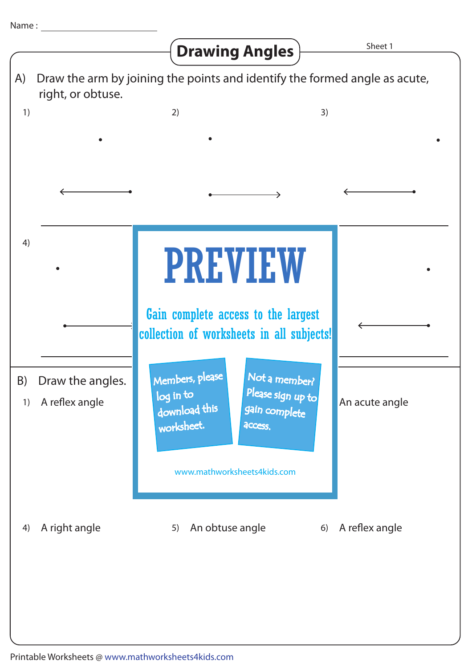